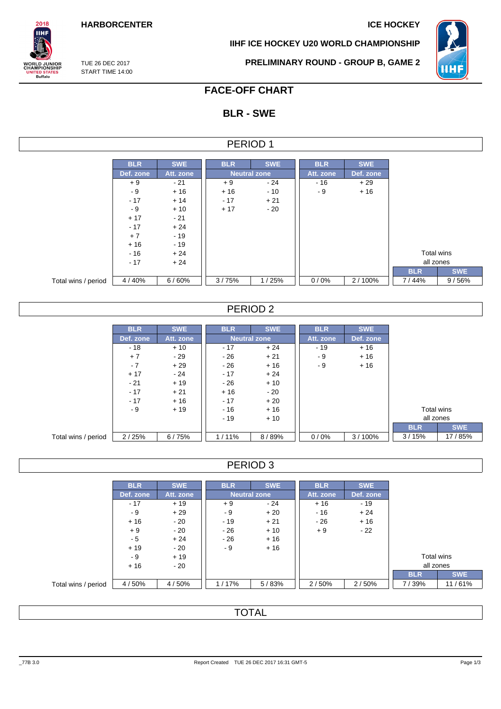**HARBORCENTER ICE HOCKEY** 

**IIHF ICE HOCKEY U20 WORLD CHAMPIONSHIP**



TUE 26 DEC 2017 START TIME 14:00

 $2018$ **IIHF** 

**ORLD JUNIOR**<br>HAMPIONSHIP

UNITED STATES<br>Buffalo

**PRELIMINARY ROUND - GROUP B, GAME 2**

## **FACE-OFF CHART**

# **BLR - SWE**

| PERIOD |  |
|--------|--|
|--------|--|

|                     | <b>BLR</b> | <b>SWE</b> | <b>BLR</b> | <b>SWE</b>          | <b>BLR</b> | <b>SWE</b> |            |            |
|---------------------|------------|------------|------------|---------------------|------------|------------|------------|------------|
|                     | Def. zone  | Att. zone  |            | <b>Neutral zone</b> | Att. zone  | Def. zone  |            |            |
|                     | $+9$       | $-21$      | $+9$       | $-24$               | $-16$      | $+29$      |            |            |
|                     | - 9        | $+16$      | $+16$      | $-10$               | - 9        | $+16$      |            |            |
|                     | $-17$      | $+14$      | $-17$      | $+21$               |            |            |            |            |
|                     | - 9        | $+10$      | $+17$      | $-20$               |            |            |            |            |
|                     | $+17$      | $-21$      |            |                     |            |            |            |            |
|                     | $-17$      | $+24$      |            |                     |            |            |            |            |
|                     | $+7$       | $-19$      |            |                     |            |            |            |            |
|                     | $+16$      | $-19$      |            |                     |            |            |            |            |
|                     | $-16$      | $+24$      |            |                     |            |            | Total wins |            |
|                     | $-17$      | $+24$      |            |                     |            |            | all zones  |            |
|                     |            |            |            |                     |            |            | <b>BLR</b> | <b>SWE</b> |
| Total wins / period | 4/40%      | 6/60%      | 3/75%      | 1/25%               | 0/0%       | 2/100%     | 7/44%      | 9/56%      |

### PERIOD 2

|                     | <b>BLR</b>   | <b>SWE</b> | <b>BLR</b> | <b>SWE</b>          | <b>BLR</b> | <b>SWE</b> |            |
|---------------------|--------------|------------|------------|---------------------|------------|------------|------------|
|                     | Def. zone    | Att. zone  |            | <b>Neutral zone</b> | Att. zone  | Def. zone  |            |
|                     | $-18$        | $+10$      | $-17$      | $+24$               | - 19       | $+16$      |            |
|                     | $+7$         | - 29       | $-26$      | $+21$               | - 9        | $+16$      |            |
|                     | $-7$         | $+29$      | $-26$      | $+16$               | - 9        | $+16$      |            |
|                     | $+17$        | - 24       | $-17$      | $+24$               |            |            |            |
|                     | $-21$        | $+19$      | - 26       | $+10$               |            |            |            |
|                     | $-17$        | $+21$      | $+16$      | $-20$               |            |            |            |
|                     | $-17$        | $+16$      | $-17$      | $+20$               |            |            |            |
|                     | $+19$<br>- 9 |            | $-16$      | $+16$               |            |            | Total wins |
|                     |              |            | $-19$      | $+10$               |            |            | all zones  |
|                     |              |            |            |                     |            |            | <b>BLR</b> |
| Total wins / period | 2/25%        | 6/75%      | $1/11\%$   | 8/89%               | $0/0\%$    | $3/100\%$  | 3/15%      |

### PERIOD 3

|                     | <b>BLR</b> | <b>SWE</b> | <b>BLR</b> | <b>SWE</b>          | <b>BLR</b> | <b>SWE</b> |            |            |
|---------------------|------------|------------|------------|---------------------|------------|------------|------------|------------|
|                     |            |            |            |                     |            |            |            |            |
|                     | Def. zone  | Att. zone  |            | <b>Neutral zone</b> |            | Def. zone  |            |            |
|                     | $-17$      | $+19$      | $+9$       | $-24$               | $+16$      | $-19$      |            |            |
|                     | - 9        | $+29$      | - 9        | $+20$               | $-16$      | $+24$      |            |            |
|                     | $+16$      | $-20$      | $-19$      | $+21$               | - 26       | $+16$      |            |            |
|                     | $+9$       | - 20       | - 26       | $+10$               | $+9$       | $-22$      |            |            |
|                     | - 5        | $+24$      | $-26$      | $+16$               |            |            |            |            |
|                     | $+19$      | $-20$      | - 9        | $+16$               |            |            |            |            |
|                     | - 9        | $+19$      |            |                     |            |            |            | Total wins |
|                     | $+16$      | - 20       |            |                     |            |            | all zones  |            |
|                     |            |            |            |                     |            |            | <b>BLR</b> | <b>SWE</b> |
| Total wins / period | 4/50%      | 4/50%      | 1/17%      | 5/83%               | 2/50%      | 2/50%      | 7/39%      | 11/61%     |

## **TOTAL**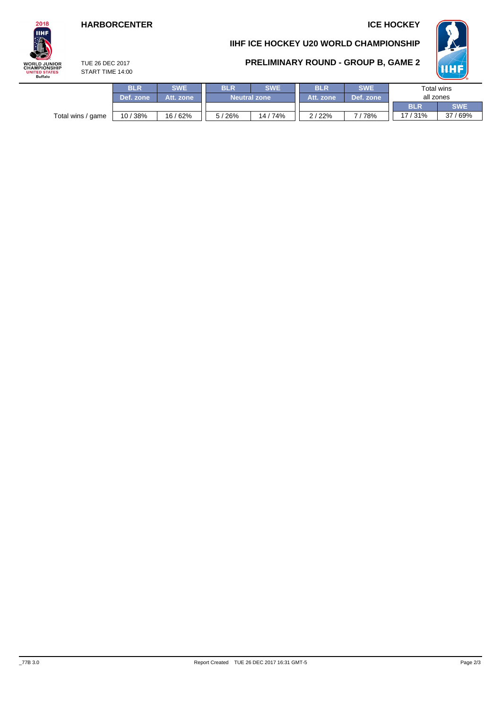## **HARBORCENTER ICE HOCKEY**

# $2018$ **IIHF WORLD JUNIOR**<br>CHAMPIONSHIP UNITED STATES<br>Buffalo

## **IIHF ICE HOCKEY U20 WORLD CHAMPIONSHIP**

**PRELIMINARY ROUND - GROUP B, GAME 2**



TUE 26 DEC 2017 START TIME 14:00

|                   | <b>BLR</b> | <b>SWE</b> | <b>SWE</b><br><b>BLR</b> |                     | <b>BLR</b> | <b>SWE</b> | Total wins |            |  |
|-------------------|------------|------------|--------------------------|---------------------|------------|------------|------------|------------|--|
|                   | Def. zone  | Att. zone  |                          | <b>Neutral zone</b> | Att. zone  | Def. zone  | all zones  |            |  |
|                   |            |            |                          |                     |            |            | <b>BLR</b> | <b>SWE</b> |  |
| Total wins / game | 10/38%     | 16/62%     | 5/26%                    | 14/74%              | 2/22%      | 78%        | 17/31%     | 37/69%     |  |